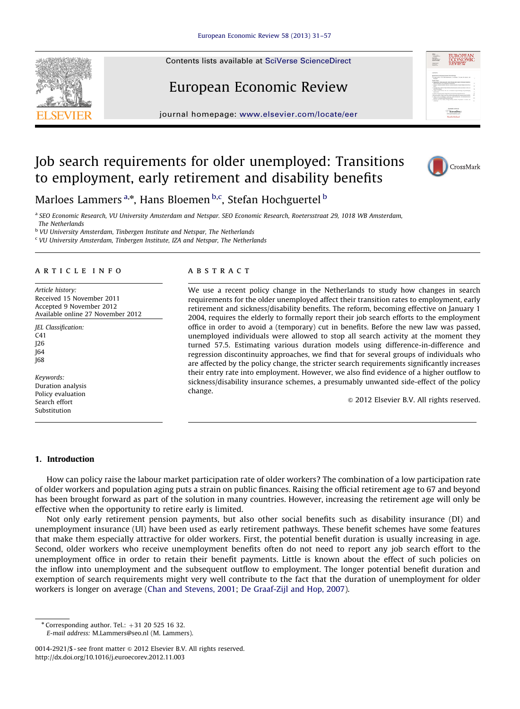Contents lists available at [SciVerse ScienceDirect](www.elsevier.com/locate/eer)

## European Economic Review

journal homepage: <www.elsevier.com/locate/eer>

## Job search requirements for older unemployed: Transitions to employment, early retirement and disability benefits



<sup>a</sup> SEO Economic Research, VU University Amsterdam and Netspar. SEO Economic Research, Roetersstraat 29, 1018 WB Amsterdam, The Netherlands

b VU University Amsterdam, Tinbergen Institute and Netspar, The Netherlands

<sup>c</sup> VU University Amsterdam, Tinbergen Institute, IZA and Netspar, The Netherlands

#### ARTICIE INFO

Article history: Received 15 November 2011 Accepted 9 November 2012 Available online 27 November 2012

- JEL Classification: C41 J26 J64 J68
- Keywords: Duration analysis Policy evaluation Search effort Substitution

#### **ARSTRACT**

We use a recent policy change in the Netherlands to study how changes in search requirements for the older unemployed affect their transition rates to employment, early retirement and sickness/disability benefits. The reform, becoming effective on January 1 2004, requires the elderly to formally report their job search efforts to the employment office in order to avoid a (temporary) cut in benefits. Before the new law was passed, unemployed individuals were allowed to stop all search activity at the moment they turned 57.5. Estimating various duration models using difference-in-difference and regression discontinuity approaches, we find that for several groups of individuals who are affected by the policy change, the stricter search requirements significantly increases their entry rate into employment. However, we also find evidence of a higher outflow to sickness/disability insurance schemes, a presumably unwanted side-effect of the policy change.

 $\odot$  2012 Elsevier B.V. All rights reserved.

### 1. Introduction

How can policy raise the labour market participation rate of older workers? The combination of a low participation rate of older workers and population aging puts a strain on public finances. Raising the official retirement age to 67 and beyond has been brought forward as part of the solution in many countries. However, increasing the retirement age will only be effective when the opportunity to retire early is limited.

Not only early retirement pension payments, but also other social benefits such as disability insurance (DI) and unemployment insurance (UI) have been used as early retirement pathways. These benefit schemes have some features that make them especially attractive for older workers. First, the potential benefit duration is usually increasing in age. Second, older workers who receive unemployment benefits often do not need to report any job search effort to the unemployment office in order to retain their benefit payments. Little is known about the effect of such policies on the inflow into unemployment and the subsequent outflow to employment. The longer potential benefit duration and exemption of search requirements might very well contribute to the fact that the duration of unemployment for older workers is longer on average ([Chan and Stevens, 2001;](#page--1-0) [De Graaf-Zijl and Hop, 2007](#page--1-0)).

 $*$  Corresponding author. Tel.:  $+31$  20 525 16 32. E-mail address: [M.Lammers@seo.nl \(M. Lammers\).](mailto:M.Lammers@seo.nl)







<sup>0014-2921/\$ -</sup> see front matter  $\odot$  2012 Elsevier B.V. All rights reserved. [http://dx.doi.org/10.1016/j.euroecorev.2012.11.003](dx.doi.org/10.1016/j.euroecorev.2012.11.003)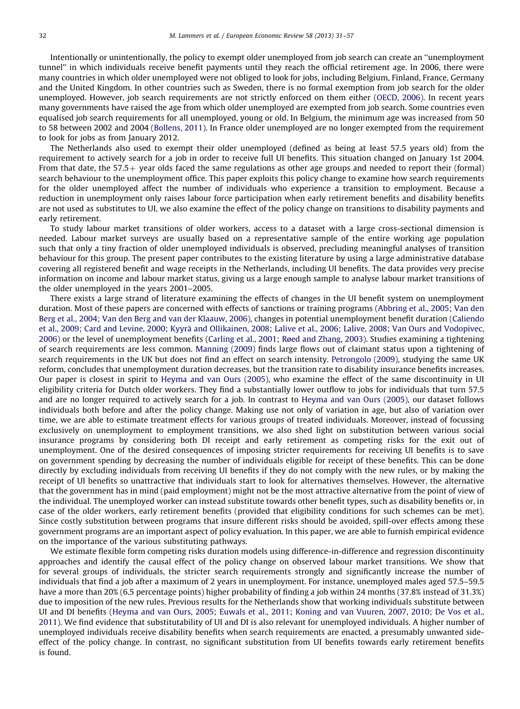Intentionally or unintentionally, the policy to exempt older unemployed from job search can create an ''unemployment tunnel'' in which individuals receive benefit payments until they reach the official retirement age. In 2006, there were many countries in which older unemployed were not obliged to look for jobs, including Belgium, Finland, France, Germany and the United Kingdom. In other countries such as Sweden, there is no formal exemption from job search for the older unemployed. However, job search requirements are not strictly enforced on them either ([OECD, 2006](#page--1-0)). In recent years many governments have raised the age from which older unemployed are exempted from job search. Some countries even equalised job search requirements for all unemployed, young or old. In Belgium, the minimum age was increased from 50 to 58 between 2002 and 2004 [\(Bollens, 2011](#page--1-0)). In France older unemployed are no longer exempted from the requirement to look for jobs as from January 2012.

The Netherlands also used to exempt their older unemployed (defined as being at least 57.5 years old) from the requirement to actively search for a job in order to receive full UI benefits. This situation changed on January 1st 2004. From that date, the  $57.5 +$  year olds faced the same regulations as other age groups and needed to report their (formal) search behaviour to the unemployment office. This paper exploits this policy change to examine how search requirements for the older unemployed affect the number of individuals who experience a transition to employment. Because a reduction in unemployment only raises labour force participation when early retirement benefits and disability benefits are not used as substitutes to UI, we also examine the effect of the policy change on transitions to disability payments and early retirement.

To study labour market transitions of older workers, access to a dataset with a large cross-sectional dimension is needed. Labour market surveys are usually based on a representative sample of the entire working age population such that only a tiny fraction of older unemployed individuals is observed, precluding meaningful analyses of transition behaviour for this group. The present paper contributes to the existing literature by using a large administrative database covering all registered benefit and wage receipts in the Netherlands, including UI benefits. The data provides very precise information on income and labour market status, giving us a large enough sample to analyse labour market transitions of the older unemployed in the years 2001–2005.

There exists a large strand of literature examining the effects of changes in the UI benefit system on unemployment duration. Most of these papers are concerned with effects of sanctions or training programs ([Abbring et al., 2005](#page--1-0); [Van den](#page--1-0) [Berg et al., 2004;](#page--1-0) [Van den Berg and van der Klaauw, 2006](#page--1-0)), changes in potential unemployment benefit duration ([Caliendo](#page--1-0) [et al., 2009;](#page--1-0) [Card and Levine, 2000](#page--1-0); [Kyyr](#page--1-0)ä [and Ollikainen, 2008](#page--1-0); [Lalive et al., 2006](#page--1-0); [Lalive, 2008;](#page--1-0) [Van Ours and Vodopivec,](#page--1-0) [2006\)](#page--1-0) or the level of unemployment benefits [\(Carling et al., 2001;](#page--1-0) [Røed and Zhang, 2003](#page--1-0)). Studies examining a tightening of search requirements are less common. [Manning \(2009\)](#page--1-0) finds large flows out of claimant status upon a tightening of search requirements in the UK but does not find an effect on search intensity. [Petrongolo \(2009\),](#page--1-0) studying the same UK reform, concludes that unemployment duration decreases, but the transition rate to disability insurance benefits increases. Our paper is closest in spirit to [Heyma and van Ours \(2005\)](#page--1-0), who examine the effect of the same discontinuity in UI eligibility criteria for Dutch older workers. They find a substantially lower outflow to jobs for individuals that turn 57.5 and are no longer required to actively search for a job. In contrast to [Heyma and van Ours \(2005\)](#page--1-0), our dataset follows individuals both before and after the policy change. Making use not only of variation in age, but also of variation over time, we are able to estimate treatment effects for various groups of treated individuals. Moreover, instead of focussing exclusively on unemployment to employment transitions, we also shed light on substitution between various social insurance programs by considering both DI receipt and early retirement as competing risks for the exit out of unemployment. One of the desired consequences of imposing stricter requirements for receiving UI benefits is to save on government spending by decreasing the number of individuals eligible for receipt of these benefits. This can be done directly by excluding individuals from receiving UI benefits if they do not comply with the new rules, or by making the receipt of UI benefits so unattractive that individuals start to look for alternatives themselves. However, the alternative that the government has in mind (paid employment) might not be the most attractive alternative from the point of view of the individual. The unemployed worker can instead substitute towards other benefit types, such as disability benefits or, in case of the older workers, early retirement benefits (provided that eligibility conditions for such schemes can be met). Since costly substitution between programs that insure different risks should be avoided, spill-over effects among these government programs are an important aspect of policy evaluation. In this paper, we are able to furnish empirical evidence on the importance of the various substituting pathways.

We estimate flexible form competing risks duration models using difference-in-difference and regression discontinuity approaches and identify the causal effect of the policy change on observed labour market transitions. We show that for several groups of individuals, the stricter search requirements strongly and significantly increase the number of individuals that find a job after a maximum of 2 years in unemployment. For instance, unemployed males aged 57.5–59.5 have a more than 20% (6.5 percentage points) higher probability of finding a job within 24 months (37.8% instead of 31.3%) due to imposition of the new rules. Previous results for the Netherlands show that working individuals substitute between UI and DI benefits ([Heyma and van Ours, 2005;](#page--1-0) [Euwals et al., 2011;](#page--1-0) [Koning and van Vuuren, 2007,](#page--1-0) [2010;](#page--1-0) [De Vos et al.,](#page--1-0) [2011](#page--1-0)). We find evidence that substitutability of UI and DI is also relevant for unemployed individuals. A higher number of unemployed individuals receive disability benefits when search requirements are enacted, a presumably unwanted sideeffect of the policy change. In contrast, no significant substitution from UI benefits towards early retirement benefits is found.